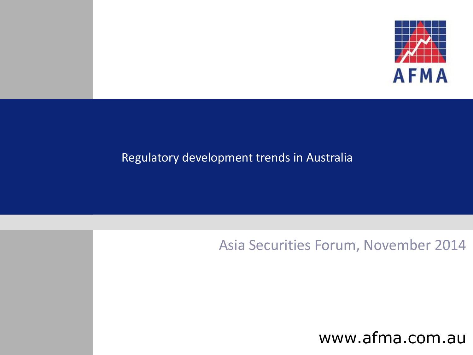

#### Regulatory development trends in Australia

#### Asia Securities Forum, November 2014

www.afma.com.au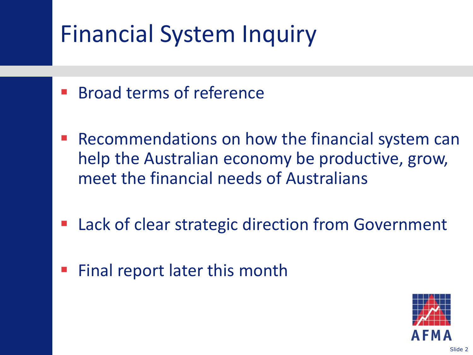# Financial System Inquiry

- **Broad terms of reference**
- Recommendations on how the financial system can help the Australian economy be productive, grow, meet the financial needs of Australians
- Lack of clear strategic direction from Government
- Final report later this month

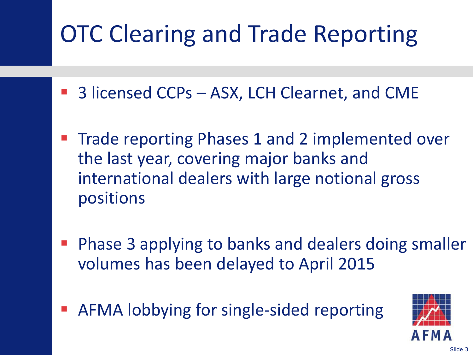# OTC Clearing and Trade Reporting

- 3 licensed CCPs ASX, LCH Clearnet, and CME
- Trade reporting Phases 1 and 2 implemented over the last year, covering major banks and international dealers with large notional gross positions
- Phase 3 applying to banks and dealers doing smaller volumes has been delayed to April 2015
- AFMA lobbying for single-sided reporting

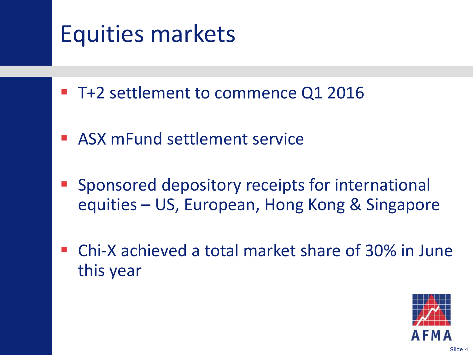# Equities markets

- T+2 settlement to commence Q1 2016
- ASX mFund settlement service
- Sponsored depository receipts for international equities – US, European, Hong Kong & Singapore
- Chi-X achieved a total market share of 30% in June this year

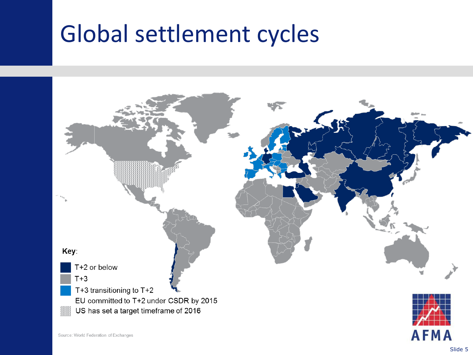#### Global settlement cycles

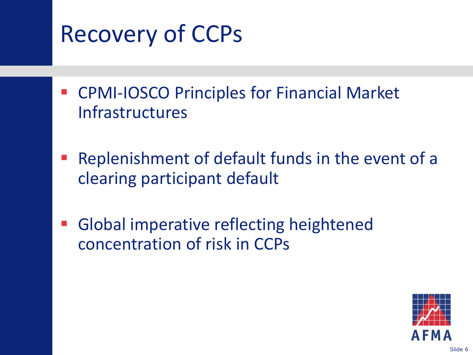# Recovery of CCPs

- CPMI-IOSCO Principles for Financial Market Infrastructures
- Replenishment of default funds in the event of a clearing participant default
- Global imperative reflecting heightened concentration of risk in CCPs